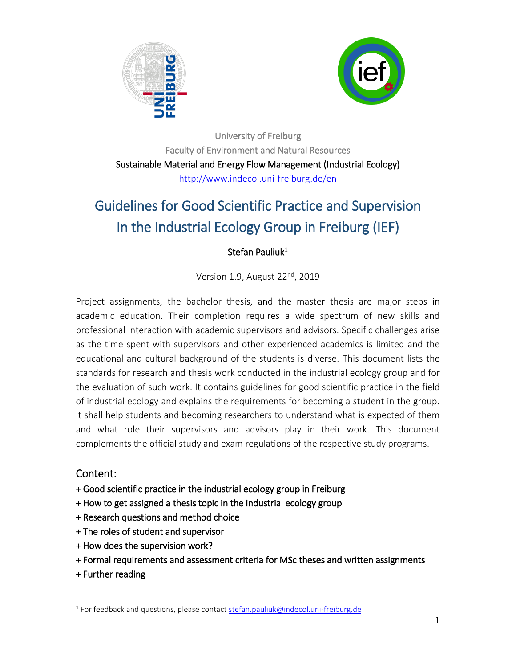



University of Freiburg Faculty of Environment and Natural Resources Sustainable Material and Energy Flow Management (Industrial Ecology) <http://www.indecol.uni-freiburg.de/en>

# Guidelines for Good Scientific Practice and Supervision In the Industrial Ecology Group in Freiburg (IEF)

### Stefan Pauliuk<sup>1</sup>

Version 1.9, August 22<sup>nd</sup>, 2019

Project assignments, the bachelor thesis, and the master thesis are major steps in academic education. Their completion requires a wide spectrum of new skills and professional interaction with academic supervisors and advisors. Specific challenges arise as the time spent with supervisors and other experienced academics is limited and the educational and cultural background of the students is diverse. This document lists the standards for research and thesis work conducted in the industrial ecology group and for the evaluation of such work. It contains guidelines for good scientific practice in the field of industrial ecology and explains the requirements for becoming a student in the group. It shall help students and becoming researchers to understand what is expected of them and what role their supervisors and advisors play in their work. This document complements the official study and exam regulations of the respective study programs.

### Content:

- + Good scientific practice in the industrial ecology group in Freiburg
- + How to get assigned a thesis topic in the industrial ecology group
- + Research questions and method choice
- + The roles of student and supervisor
- + How does the supervision work?
- + Formal requirements and assessment criteria for MSc theses and written assignments
- + Further reading

 $\overline{a}$ 

<sup>&</sup>lt;sup>1</sup> For feedback and questions, please contact <u>stefan.pauliuk@indecol.uni-freiburg.de</u>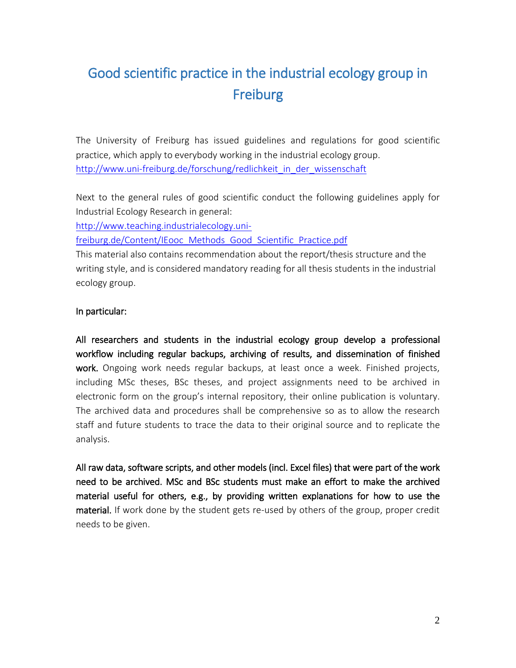# Good scientific practice in the industrial ecology group in Freiburg

The University of Freiburg has issued guidelines and regulations for good scientific practice, which apply to everybody working in the industrial ecology group. [http://www.uni-freiburg.de/forschung/redlichkeit\\_in\\_der\\_wissenschaft](http://www.uni-freiburg.de/forschung/redlichkeit_in_der_wissenschaft)

Next to the general rules of good scientific conduct the following guidelines apply for Industrial Ecology Research in general:

[http://www.teaching.industrialecology.uni-](http://www.teaching.industrialecology.uni-freiburg.de/Content/IEooc_Methods_Good_Scientific_Practice.pdf)

[freiburg.de/Content/IEooc\\_Methods\\_Good\\_Scientific\\_Practice.pdf](http://www.teaching.industrialecology.uni-freiburg.de/Content/IEooc_Methods_Good_Scientific_Practice.pdf)

This material also contains recommendation about the report/thesis structure and the writing style, and is considered mandatory reading for all thesis students in the industrial ecology group.

#### In particular:

All researchers and students in the industrial ecology group develop a professional workflow including regular backups, archiving of results, and dissemination of finished work. Ongoing work needs regular backups, at least once a week. Finished projects, including MSc theses, BSc theses, and project assignments need to be archived in electronic form on the group's internal repository, their online publication is voluntary. The archived data and procedures shall be comprehensive so as to allow the research staff and future students to trace the data to their original source and to replicate the analysis.

All raw data, software scripts, and other models (incl. Excel files) that were part of the work need to be archived. MSc and BSc students must make an effort to make the archived material useful for others, e.g., by providing written explanations for how to use the material. If work done by the student gets re-used by others of the group, proper credit needs to be given.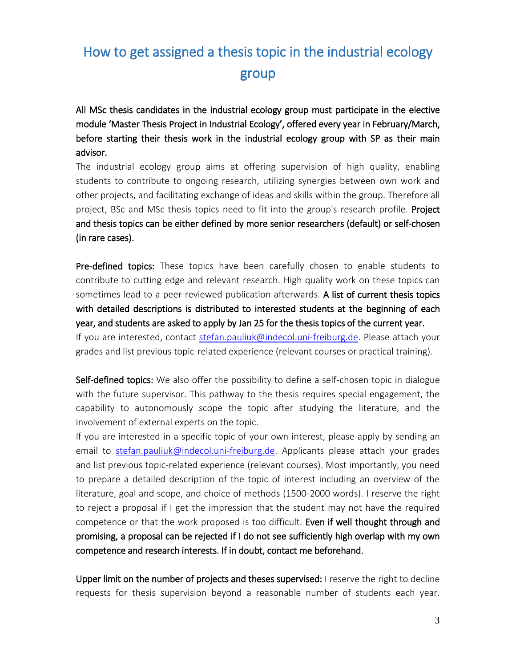# How to get assigned a thesis topic in the industrial ecology group

All MSc thesis candidates in the industrial ecology group must participate in the elective module 'Master Thesis Project in Industrial Ecology', offered every year in February/March, before starting their thesis work in the industrial ecology group with SP as their main advisor.

The industrial ecology group aims at offering supervision of high quality, enabling students to contribute to ongoing research, utilizing synergies between own work and other projects, and facilitating exchange of ideas and skills within the group. Therefore all project, BSc and MSc thesis topics need to fit into the group's research profile. Project and thesis topics can be either defined by more senior researchers (default) or self-chosen (in rare cases).

Pre-defined topics: These topics have been carefully chosen to enable students to contribute to cutting edge and relevant research. High quality work on these topics can sometimes lead to a peer-reviewed publication afterwards. A list of current thesis topics with detailed descriptions is distributed to interested students at the beginning of each year, and students are asked to apply by Jan 25 for the thesis topics of the current year. If you are interested, contact [stefan.pauliuk@indecol.uni-freiburg.de.](mailto:stefan.pauliuk@indecol.uni-freiburg.de) Please attach your grades and list previous topic-related experience (relevant courses or practical training).

Self-defined topics: We also offer the possibility to define a self-chosen topic in dialogue with the future supervisor. This pathway to the thesis requires special engagement, the capability to autonomously scope the topic after studying the literature, and the involvement of external experts on the topic.

If you are interested in a specific topic of your own interest, please apply by sending an email to [stefan.pauliuk@indecol.uni-freiburg.de.](mailto:stefan.pauliuk@indecol.uni-freiburg.de) Applicants please attach your grades and list previous topic-related experience (relevant courses). Most importantly, you need to prepare a detailed description of the topic of interest including an overview of the literature, goal and scope, and choice of methods (1500-2000 words). I reserve the right to reject a proposal if I get the impression that the student may not have the required competence or that the work proposed is too difficult. Even if well thought through and promising, a proposal can be rejected if I do not see sufficiently high overlap with my own competence and research interests. If in doubt, contact me beforehand.

Upper limit on the number of projects and theses supervised: I reserve the right to decline requests for thesis supervision beyond a reasonable number of students each year.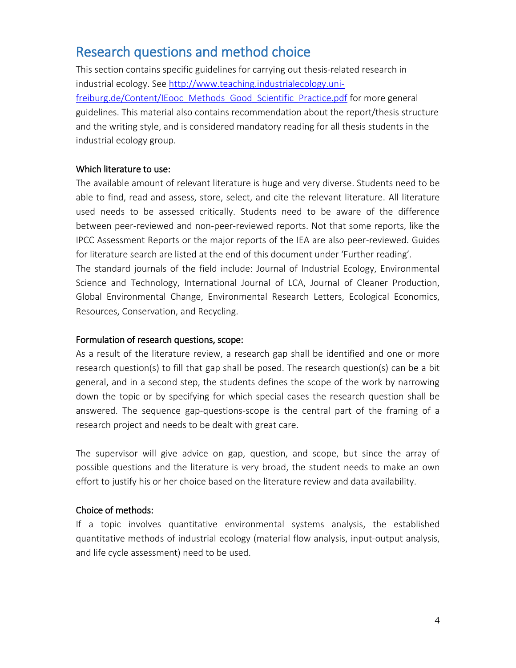## Research questions and method choice

This section contains specific guidelines for carrying out thesis-related research in industrial ecology. See [http://www.teaching.industrialecology.uni](http://www.teaching.industrialecology.uni-freiburg.de/Content/IEooc_Methods_Good_Scientific_Practice.pdf)[freiburg.de/Content/IEooc\\_Methods\\_Good\\_Scientific\\_Practice.pdf](http://www.teaching.industrialecology.uni-freiburg.de/Content/IEooc_Methods_Good_Scientific_Practice.pdf) for more general guidelines. This material also contains recommendation about the report/thesis structure and the writing style, and is considered mandatory reading for all thesis students in the industrial ecology group.

#### Which literature to use:

The available amount of relevant literature is huge and very diverse. Students need to be able to find, read and assess, store, select, and cite the relevant literature. All literature used needs to be assessed critically. Students need to be aware of the difference between peer-reviewed and non-peer-reviewed reports. Not that some reports, like the IPCC Assessment Reports or the major reports of the IEA are also peer-reviewed. Guides for literature search are listed at the end of this document under 'Further reading'. The standard journals of the field include: Journal of Industrial Ecology, Environmental Science and Technology, International Journal of LCA, Journal of Cleaner Production, Global Environmental Change, Environmental Research Letters, Ecological Economics, Resources, Conservation, and Recycling.

#### Formulation of research questions, scope:

As a result of the literature review, a research gap shall be identified and one or more research question(s) to fill that gap shall be posed. The research question(s) can be a bit general, and in a second step, the students defines the scope of the work by narrowing down the topic or by specifying for which special cases the research question shall be answered. The sequence gap-questions-scope is the central part of the framing of a research project and needs to be dealt with great care.

The supervisor will give advice on gap, question, and scope, but since the array of possible questions and the literature is very broad, the student needs to make an own effort to justify his or her choice based on the literature review and data availability.

#### Choice of methods:

If a topic involves quantitative environmental systems analysis, the established quantitative methods of industrial ecology (material flow analysis, input-output analysis, and life cycle assessment) need to be used.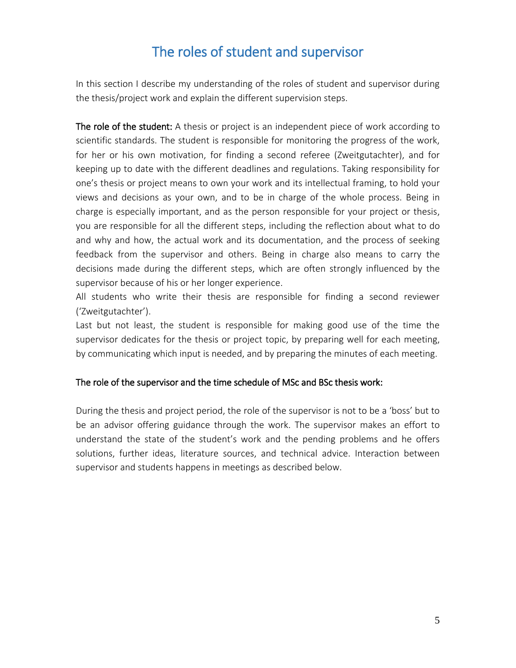# The roles of student and supervisor

In this section I describe my understanding of the roles of student and supervisor during the thesis/project work and explain the different supervision steps.

The role of the student: A thesis or project is an independent piece of work according to scientific standards. The student is responsible for monitoring the progress of the work, for her or his own motivation, for finding a second referee (Zweitgutachter), and for keeping up to date with the different deadlines and regulations. Taking responsibility for one's thesis or project means to own your work and its intellectual framing, to hold your views and decisions as your own, and to be in charge of the whole process. Being in charge is especially important, and as the person responsible for your project or thesis, you are responsible for all the different steps, including the reflection about what to do and why and how, the actual work and its documentation, and the process of seeking feedback from the supervisor and others. Being in charge also means to carry the decisions made during the different steps, which are often strongly influenced by the supervisor because of his or her longer experience.

All students who write their thesis are responsible for finding a second reviewer ('Zweitgutachter').

Last but not least, the student is responsible for making good use of the time the supervisor dedicates for the thesis or project topic, by preparing well for each meeting, by communicating which input is needed, and by preparing the minutes of each meeting.

#### The role of the supervisor and the time schedule of MSc and BSc thesis work:

During the thesis and project period, the role of the supervisor is not to be a 'boss' but to be an advisor offering guidance through the work. The supervisor makes an effort to understand the state of the student's work and the pending problems and he offers solutions, further ideas, literature sources, and technical advice. Interaction between supervisor and students happens in meetings as described below.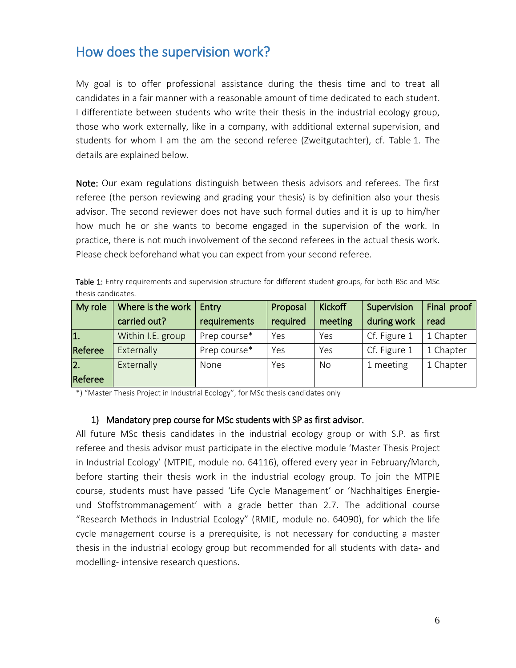## How does the supervision work?

My goal is to offer professional assistance during the thesis time and to treat all candidates in a fair manner with a reasonable amount of time dedicated to each student. I differentiate between students who write their thesis in the industrial ecology group, those who work externally, like in a company, with additional external supervision, and students for whom I am the am the second referee (Zweitgutachter), cf. Table 1. The details are explained below.

Note: Our exam regulations distinguish between thesis advisors and referees. The first referee (the person reviewing and grading your thesis) is by definition also your thesis advisor. The second reviewer does not have such formal duties and it is up to him/her how much he or she wants to become engaged in the supervision of the work. In practice, there is not much involvement of the second referees in the actual thesis work. Please check beforehand what you can expect from your second referee.

Table 1: Entry requirements and supervision structure for different student groups, for both BSc and MSc thesis candidates.

| My role          | Where is the work | Entry        | Proposal | <b>Kickoff</b> | Supervision  | Final proof |  |
|------------------|-------------------|--------------|----------|----------------|--------------|-------------|--|
|                  | carried out?      | requirements | required | meeting        | during work  | read        |  |
| 1.               | Within I.E. group | Prep course* | Yes      | Yes            | Cf. Figure 1 | 1 Chapter   |  |
| Referee          | Externally        | Prep course* | Yes      | Yes            | Cf. Figure 1 | 1 Chapter   |  |
| $\overline{2}$ . | Externally        | None         | Yes      | <b>No</b>      | 1 meeting    | 1 Chapter   |  |
| Referee          |                   |              |          |                |              |             |  |

\*) "Master Thesis Project in Industrial Ecology", for MSc thesis candidates only

#### 1) Mandatory prep course for MSc students with SP as first advisor.

All future MSc thesis candidates in the industrial ecology group or with S.P. as first referee and thesis advisor must participate in the elective module 'Master Thesis Project in Industrial Ecology' (MTPIE, module no. 64116), offered every year in February/March, before starting their thesis work in the industrial ecology group. To join the MTPIE course, students must have passed 'Life Cycle Management' or 'Nachhaltiges Energieund Stoffstrommanagement' with a grade better than 2.7. The additional course "Research Methods in Industrial Ecology" (RMIE, module no. 64090), for which the life cycle management course is a prerequisite, is not necessary for conducting a master thesis in the industrial ecology group but recommended for all students with data- and modelling- intensive research questions.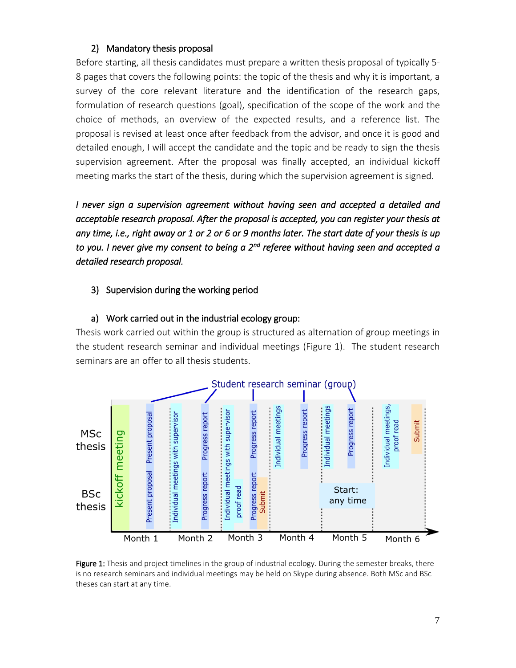#### 2) Mandatory thesis proposal

Before starting, all thesis candidates must prepare a written thesis proposal of typically 5- 8 pages that covers the following points: the topic of the thesis and why it is important, a survey of the core relevant literature and the identification of the research gaps, formulation of research questions (goal), specification of the scope of the work and the choice of methods, an overview of the expected results, and a reference list. The proposal is revised at least once after feedback from the advisor, and once it is good and detailed enough, I will accept the candidate and the topic and be ready to sign the thesis supervision agreement. After the proposal was finally accepted, an individual kickoff meeting marks the start of the thesis, during which the supervision agreement is signed.

*I never sign a supervision agreement without having seen and accepted a detailed and acceptable research proposal. After the proposal is accepted, you can register your thesis at any time, i.e., right away or 1 or 2 or 6 or 9 months later. The start date of your thesis is up to you. I never give my consent to being a 2nd referee without having seen and accepted a detailed research proposal.* 

#### 3) Supervision during the working period

#### a) Work carried out in the industrial ecology group:

Thesis work carried out within the group is structured as alternation of group meetings in the student research seminar and individual meetings (Figure 1). The student research seminars are an offer to all thesis students.



Figure 1: Thesis and project timelines in the group of industrial ecology. During the semester breaks, there is no research seminars and individual meetings may be held on Skype during absence. Both MSc and BSc theses can start at any time.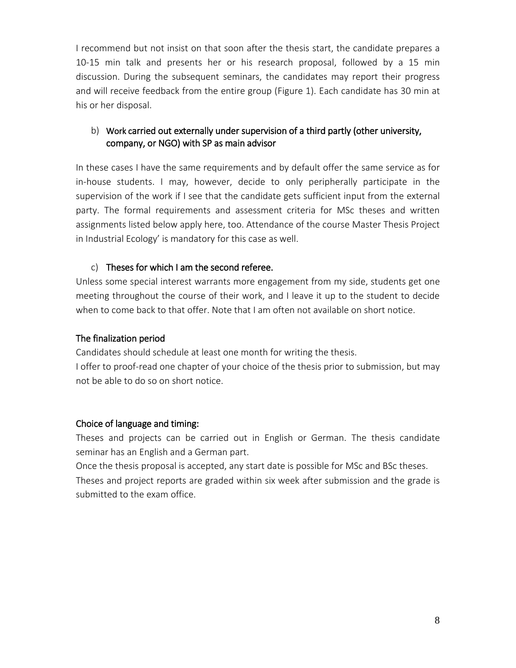I recommend but not insist on that soon after the thesis start, the candidate prepares a 10-15 min talk and presents her or his research proposal, followed by a 15 min discussion. During the subsequent seminars, the candidates may report their progress and will receive feedback from the entire group (Figure 1). Each candidate has 30 min at his or her disposal.

#### b) Work carried out externally under supervision of a third partly (other university, company, or NGO) with SP as main advisor

In these cases I have the same requirements and by default offer the same service as for in-house students. I may, however, decide to only peripherally participate in the supervision of the work if I see that the candidate gets sufficient input from the external party. The formal requirements and assessment criteria for MSc theses and written assignments listed below apply here, too. Attendance of the course Master Thesis Project in Industrial Ecology' is mandatory for this case as well.

#### c) Theses for which I am the second referee.

Unless some special interest warrants more engagement from my side, students get one meeting throughout the course of their work, and I leave it up to the student to decide when to come back to that offer. Note that I am often not available on short notice.

#### The finalization period

Candidates should schedule at least one month for writing the thesis.

I offer to proof-read one chapter of your choice of the thesis prior to submission, but may not be able to do so on short notice.

#### Choice of language and timing:

Theses and projects can be carried out in English or German. The thesis candidate seminar has an English and a German part.

Once the thesis proposal is accepted, any start date is possible for MSc and BSc theses.

Theses and project reports are graded within six week after submission and the grade is submitted to the exam office.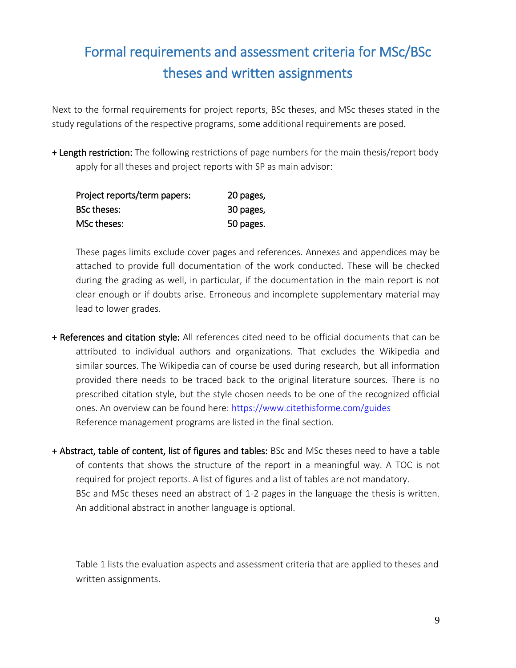# Formal requirements and assessment criteria for MSc/BSc theses and written assignments

Next to the formal requirements for project reports, BSc theses, and MSc theses stated in the study regulations of the respective programs, some additional requirements are posed.

+ Length restriction: The following restrictions of page numbers for the main thesis/report body apply for all theses and project reports with SP as main advisor:

| Project reports/term papers: | 20 pages, |
|------------------------------|-----------|
| <b>BSc theses:</b>           | 30 pages, |
| MSc theses:                  | 50 pages. |

These pages limits exclude cover pages and references. Annexes and appendices may be attached to provide full documentation of the work conducted. These will be checked during the grading as well, in particular, if the documentation in the main report is not clear enough or if doubts arise. Erroneous and incomplete supplementary material may lead to lower grades.

- + References and citation style: All references cited need to be official documents that can be attributed to individual authors and organizations. That excludes the Wikipedia and similar sources. The Wikipedia can of course be used during research, but all information provided there needs to be traced back to the original literature sources. There is no prescribed citation style, but the style chosen needs to be one of the recognized official ones. An overview can be found here:<https://www.citethisforme.com/guides> Reference management programs are listed in the final section.
- + Abstract, table of content, list of figures and tables: BSc and MSc theses need to have a table of contents that shows the structure of the report in a meaningful way. A TOC is not required for project reports. A list of figures and a list of tables are not mandatory. BSc and MSc theses need an abstract of 1-2 pages in the language the thesis is written. An additional abstract in another language is optional.

Table 1 lists the evaluation aspects and assessment criteria that are applied to theses and written assignments.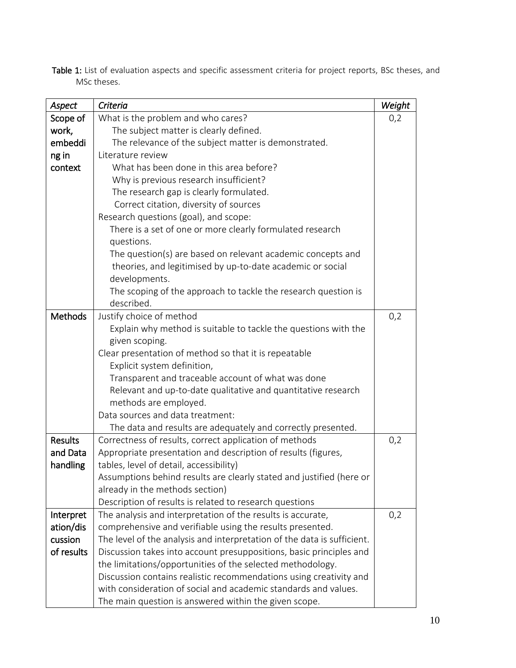|             |  |  | Table 1: List of evaluation aspects and specific assessment criteria for project reports, BSc theses, and |  |  |  |  |
|-------------|--|--|-----------------------------------------------------------------------------------------------------------|--|--|--|--|
| MSc theses. |  |  |                                                                                                           |  |  |  |  |

| Aspect                | Criteria                                                                                                                         | Weight |  |  |  |
|-----------------------|----------------------------------------------------------------------------------------------------------------------------------|--------|--|--|--|
| Scope of              | What is the problem and who cares?                                                                                               | 0,2    |  |  |  |
| work,                 | The subject matter is clearly defined.                                                                                           |        |  |  |  |
| embeddi               | The relevance of the subject matter is demonstrated.                                                                             |        |  |  |  |
| ng in                 | Literature review                                                                                                                |        |  |  |  |
| context               | What has been done in this area before?                                                                                          |        |  |  |  |
|                       | Why is previous research insufficient?                                                                                           |        |  |  |  |
|                       | The research gap is clearly formulated.                                                                                          |        |  |  |  |
|                       | Correct citation, diversity of sources                                                                                           |        |  |  |  |
|                       | Research questions (goal), and scope:                                                                                            |        |  |  |  |
|                       | There is a set of one or more clearly formulated research                                                                        |        |  |  |  |
|                       | questions.                                                                                                                       |        |  |  |  |
|                       | The question(s) are based on relevant academic concepts and                                                                      |        |  |  |  |
|                       | theories, and legitimised by up-to-date academic or social                                                                       |        |  |  |  |
|                       | developments.                                                                                                                    |        |  |  |  |
|                       | The scoping of the approach to tackle the research question is                                                                   |        |  |  |  |
|                       | described.                                                                                                                       |        |  |  |  |
| <b>Methods</b>        | Justify choice of method                                                                                                         | 0,2    |  |  |  |
|                       | Explain why method is suitable to tackle the questions with the                                                                  |        |  |  |  |
|                       | given scoping.                                                                                                                   |        |  |  |  |
|                       | Clear presentation of method so that it is repeatable                                                                            |        |  |  |  |
|                       | Explicit system definition,                                                                                                      |        |  |  |  |
|                       | Transparent and traceable account of what was done                                                                               |        |  |  |  |
|                       | Relevant and up-to-date qualitative and quantitative research                                                                    |        |  |  |  |
|                       | methods are employed.                                                                                                            |        |  |  |  |
|                       | Data sources and data treatment:                                                                                                 |        |  |  |  |
|                       | The data and results are adequately and correctly presented.                                                                     |        |  |  |  |
| <b>Results</b>        | Correctness of results, correct application of methods                                                                           | 0,2    |  |  |  |
| and Data              | Appropriate presentation and description of results (figures,                                                                    |        |  |  |  |
| handling              | tables, level of detail, accessibility)                                                                                          |        |  |  |  |
|                       | Assumptions behind results are clearly stated and justified (here or                                                             |        |  |  |  |
|                       | already in the methods section)                                                                                                  |        |  |  |  |
|                       | Description of results is related to research questions                                                                          |        |  |  |  |
| Interpret             | The analysis and interpretation of the results is accurate,                                                                      | 0,2    |  |  |  |
| ation/dis             | comprehensive and verifiable using the results presented.                                                                        |        |  |  |  |
| cussion<br>of results | The level of the analysis and interpretation of the data is sufficient.                                                          |        |  |  |  |
|                       | Discussion takes into account presuppositions, basic principles and                                                              |        |  |  |  |
|                       | the limitations/opportunities of the selected methodology.<br>Discussion contains realistic recommendations using creativity and |        |  |  |  |
|                       | with consideration of social and academic standards and values.                                                                  |        |  |  |  |
|                       | The main question is answered within the given scope.                                                                            |        |  |  |  |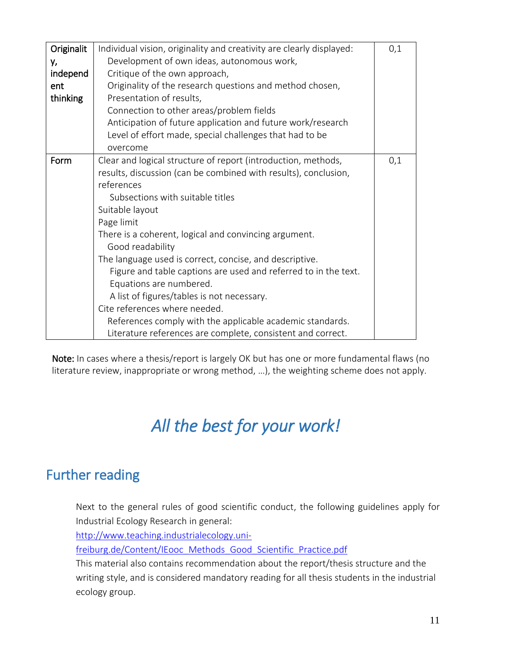| Originalit | Individual vision, originality and creativity are clearly displayed: | 0,1 |  |  |  |  |  |
|------------|----------------------------------------------------------------------|-----|--|--|--|--|--|
| у,         | Development of own ideas, autonomous work,                           |     |  |  |  |  |  |
| independ   | Critique of the own approach,                                        |     |  |  |  |  |  |
| ent        | Originality of the research questions and method chosen,             |     |  |  |  |  |  |
| thinking   | Presentation of results,                                             |     |  |  |  |  |  |
|            | Connection to other areas/problem fields                             |     |  |  |  |  |  |
|            | Anticipation of future application and future work/research          |     |  |  |  |  |  |
|            | Level of effort made, special challenges that had to be              |     |  |  |  |  |  |
|            | overcome                                                             |     |  |  |  |  |  |
| Form       | Clear and logical structure of report (introduction, methods,        | 0,1 |  |  |  |  |  |
|            | results, discussion (can be combined with results), conclusion,      |     |  |  |  |  |  |
|            | references                                                           |     |  |  |  |  |  |
|            | Subsections with suitable titles                                     |     |  |  |  |  |  |
|            | Suitable layout                                                      |     |  |  |  |  |  |
|            | Page limit                                                           |     |  |  |  |  |  |
|            | There is a coherent, logical and convincing argument.                |     |  |  |  |  |  |
|            | Good readability                                                     |     |  |  |  |  |  |
|            | The language used is correct, concise, and descriptive.              |     |  |  |  |  |  |
|            | Figure and table captions are used and referred to in the text.      |     |  |  |  |  |  |
|            | Equations are numbered.                                              |     |  |  |  |  |  |
|            | A list of figures/tables is not necessary.                           |     |  |  |  |  |  |
|            | Cite references where needed.                                        |     |  |  |  |  |  |
|            | References comply with the applicable academic standards.            |     |  |  |  |  |  |
|            | Literature references are complete, consistent and correct.          |     |  |  |  |  |  |

Note: In cases where a thesis/report is largely OK but has one or more fundamental flaws (no literature review, inappropriate or wrong method, …), the weighting scheme does not apply.

# *All the best for your work!*

# Further reading

Next to the general rules of good scientific conduct, the following guidelines apply for Industrial Ecology Research in general:

[http://www.teaching.industrialecology.uni-](http://www.teaching.industrialecology.uni-freiburg.de/Content/IEooc_Methods_Good_Scientific_Practice.pdf)

[freiburg.de/Content/IEooc\\_Methods\\_Good\\_Scientific\\_Practice.pdf](http://www.teaching.industrialecology.uni-freiburg.de/Content/IEooc_Methods_Good_Scientific_Practice.pdf)

This material also contains recommendation about the report/thesis structure and the writing style, and is considered mandatory reading for all thesis students in the industrial ecology group.